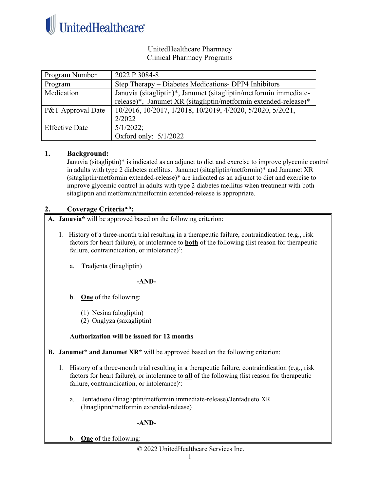

## UnitedHealthcare Pharmacy Clinical Pharmacy Programs

| Program Number        | 2022 P 3084-8                                                     |
|-----------------------|-------------------------------------------------------------------|
| Program               | Step Therapy – Diabetes Medications- DPP4 Inhibitors              |
| Medication            | Januvia (sitagliptin)*, Janumet (sitagliptin/metformin immediate- |
|                       | release)*, Janumet XR (sitagliptin/metformin extended-release)*   |
| P&T Approval Date     | 10/2016, 10/2017, 1/2018, 10/2019, 4/2020, 5/2020, 5/2021,        |
|                       | 2/2022                                                            |
| <b>Effective Date</b> | $5/1/2022$ ;                                                      |
|                       | Oxford only: $5/1/2022$                                           |

### **1. Background:**

Januvia (sitagliptin)\* is indicated as an adjunct to diet and exercise to improve glycemic control in adults with type 2 diabetes mellitus. Janumet (sitagliptin/metformin)\* and Janumet XR (sitagliptin/metformin extended-release)\* are indicated as an adjunct to diet and exercise to improve glycemic control in adults with type 2 diabetes mellitus when treatment with both sitagliptin and metformin/metformin extended-release is appropriate.

# **2. Coverage Criteriaa,b:**

**A. Januvia\*** will be approved based on the following criterion:

- 1. History of a three-month trial resulting in a therapeutic failure, contraindication (e.g., risk factors for heart failure), or intolerance to **both** of the following (list reason for therapeutic failure, contraindication, or intolerance)<sup>c</sup>:
	- a. Tradjenta (linagliptin)

### **-AND-**

- b. **One** of the following:
	- (1) Nesina (alogliptin)
	- (2) Onglyza (saxagliptin)

### **Authorization will be issued for 12 months**

- **B. Janumet\* and Janumet XR\*** will be approved based on the following criterion:
	- 1. History of a three-month trial resulting in a therapeutic failure, contraindication (e.g., risk factors for heart failure), or intolerance to **all** of the following (list reason for therapeutic failure, contraindication, or intolerance)<sup>c</sup>:
		- a. Jentadueto (linagliptin/metformin immediate-release)/Jentadueto XR (linagliptin/metformin extended-release)

### **-AND-**

b. **One** of the following: